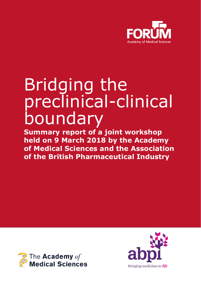

# Bridging the preclinical-clinical boundary

**Summary report of a joint workshop held on 9 March 2018 by the Academy of Medical Sciences and the Association of the British Pharmaceutical Industry**



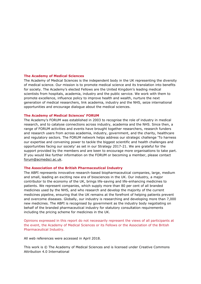#### **The Academy of Medical Sciences**

The Academy of Medical Sciences is the independent body in the UK representing the diversity of medical science. Our mission is to promote medical science and its translation into benefits for society. The Academy's elected Fellows are the United Kingdom's leading medical scientists from hospitals, academia, industry and the public service. We work with them to promote excellence, influence policy to improve health and wealth, nurture the next generation of medical researchers, link academia, industry and the NHS, seize international opportunities and encourage dialogue about the medical sciences.

#### **The Academy of Medical Sciences' FORUM**

The Academy's FORUM was established in 2003 to recognise the role of industry in medical research, and to catalyse connections across industry, academia and the NHS. Since then, a range of FORUM activities and events have brought together researchers, research funders and research users from across academia, industry, government, and the charity, healthcare and regulatory sectors. The FORUM network helps address our strategic challenge 'To harness our expertise and convening power to tackle the biggest scientific and health challenges and opportunities facing our society' as set in our Strategy 2017-21. We are grateful for the support provided by the members and are keen to encourage more organisations to take part. If you would like further information on the FORUM or becoming a member, please contact forum@acmedsci.ac.uk.

#### **The Association of the British Pharmaceutical Industry**

The ABPI represents innovative research-based biopharmaceutical companies, large, medium and small, leading an exciting new era of biosciences in the UK. Our industry, a major contributor to the economy of the UK, brings life-saving and life-enhancing medicines to patients. We represent companies, which supply more than 80 per cent of all branded medicines used by the NHS, and who research and develop the majority of the current medicines pipeline, ensuring that the UK remains at the forefront of helping patients prevent and overcome diseases. Globally, our industry is researching and developing more than 7,000 new medicines. The ABPI is recognised by government as the industry body negotiating on behalf of the branded pharmaceutical industry for statutory consultation requirements including the pricing scheme for medicines in the UK.

Opinions expressed in this report do not necessarily represent the views of all participants at the event, the Academy of Medical Sciences or its Fellows or the Association of the British Pharmaceutical Industry.

All web references were accessed in April 2018.

This work is © The Academy of Medical Sciences and is licensed under Creative Commons Attribution 4.0 International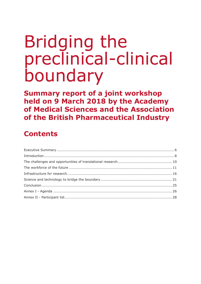# Bridging the preclinical-clinical boundary

**Summary report of a joint workshop held on 9 March 2018 by the Academy of Medical Sciences and the Association of the British Pharmaceutical Industry**

## **Contents**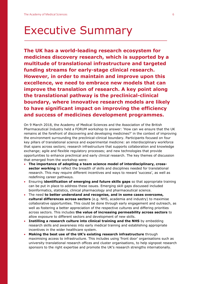## Executive Summary

**The UK has a world-leading research ecosystem for medicines discovery research, which is supported by a multitude of translational infrastructure and targeted funding streams for early-stage clinical research. However, in order to maintain and improve upon this excellence, we need to embrace new models that can improve the translation of research. A key point along the translational pathway is the preclinical-clinical boundary, where innovative research models are likely to have significant impact on improving the efficiency and success of medicines development programmes.**

On 9 March 2018, the Academy of Medical Sciences and the Association of the British Pharmaceutical Industry held a FORUM workshop to answer: 'How can we ensure that the UK remains at the forefront of discovering and developing medicines?' in the context of improving the environment surrounding the preclinical-clinical boundary. Participants focused on four key pillars of translational science and experimental medicine: an interdisciplinary workforce that spans across sectors; research infrastructure that supports collaboration and knowledge exchange; agile and flexible regulatory processes; and new technologies that provide opportunities to enhance preclinical and early clinical research. The key themes of discussion that emerged from the workshop were:

- **The importance of adopting a team science model of interdisciplinary, crosssector working** to reflect the breadth of skills and disciplines needed for translational research. This may require different incentives and ways to reward 'success', as well as redefining career pathways.
- Ensuring **identification of emerging and future skills gaps** so that appropriate training can be put in place to address these issues. Emerging skill gaps discussed included bioinformatics, statistics, clinical pharmacology and pharmaceutical science.
- The need **to better understand and recognise, and in some cases overcome, cultural differences across sectors** (e.g. NHS, academia and industry) to maximise collaborative opportunities. This could be done through early engagement and outreach, as well as fostering a better appreciation of the respective cultures and differing priorities across sectors. This includes **the value of increasing permeability across sectors** to allow exposure to different sectors and development of new skills.
- **Instilling a research culture into clinical training and the NHS** by embedding research skills and awareness into early medical training and establishing appropriate incentives in the wider healthcare system.
- **Making the best use of the UK's existing research infrastructure** through maximising access to infrastructure. This includes using 'front door' organisations such as university translational research offices and cluster organisations, to help signpost research sponsors to the right expertise and promote the UK's research strengths internationally.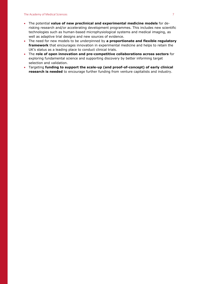- The potential **value of new preclinical and experimental medicine models** for derisking research and/or accelerating development programmes. This includes new scientific technologies such as human-based microphysiological systems and medical imaging, as well as adaptive trial designs and new sources of evidence.
- The need for new models to be underpinned by **a proportionate and flexible regulatory framework** that encourages innovation in experimental medicine and helps to retain the UK's status as a leading place to conduct clinical trials.
- The **role of open innovation and pre-competitive collaborations across sectors** for exploring fundamental science and supporting discovery by better informing target selection and validation.
- Targeting **funding to support the scale-up (and proof-of-concept) of early clinical research is needed** to encourage further funding from venture capitalists and industry.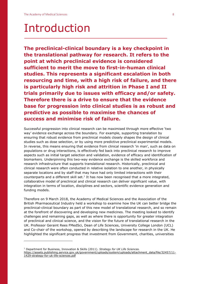<u>.</u>

## Introduction

**The preclinical-clinical boundary is a key checkpoint in the translational pathway for research. It refers to the point at which preclinical evidence is considered sufficient to merit the move to first-in-human clinical studies. This represents a significant escalation in both resourcing and time, with a high risk of failure, and there is particularly high risk and attrition in Phase I and II trials primarily due to issues with efficacy and/or safety. Therefore there is a drive to ensure that the evidence base for progression into clinical studies is as robust and predictive as possible to maximise the chances of success and minimise risk of failure.**

Successful progression into clinical research can be maximised through more effective 'two way' evidence exchange across the boundary. For example, supporting translation by ensuring that robust evidence from preclinical models closely shapes the design of clinical studies such as dose selection, or by using more predictive preclinical experimental models. In reverse, this means ensuring that evidence from clinical research 'in man', such as data on populations or drug interactions, is effectively fed back into preclinical research to improve aspects such as initial target selection and validation, evidence of efficacy and identification of biomarkers. Underpinning this two-way evidence exchange is the skilled workforce and research infrastructure that supports translational research. Historically, preclinical and clinical research were often conducted in relative isolation to one another, in physically separate locations and by staff that may have had only limited interactions with their counterparts and a different skill set. $<sup>1</sup>$  It has now been recognised that a more integrated,</sup> collaborative model of preclinical and clinical research can deliver significant value, with integration in terms of location, disciplines and sectors, scientific evidence generation and funding models.

Therefore on 9 March 2018, the Academy of Medical Sciences and the Association of the British Pharmaceutical Industry held a workshop to examine how the UK can better bridge the preclinical-clinical boundary as part of this new model of translational research, and so remain at the forefront of discovering and developing new medicines. The meeting looked to identify challenges and remaining gaps, as well as where there is opportunity for greater integration of preclinical and clinical science, and the vision for the future of translational research in the UK. Professor Geraint Rees FMedSci, Dean of Life Sciences, University College London (UCL) and Co-chair of the workshop, opened by describing the landscape for research in the UK. He highlighted the significant progress that investment from Government, charities, universities

<sup>1</sup> Department for Business, Innovation & Skills (2011). *Strategy for UK Life Sciences.*  [https://assets.publishing.service.gov.uk/government/uploads/system/uploads/attachment\\_data/file/32457/11-](https://assets.publishing.service.gov.uk/government/uploads/system/uploads/attachment_data/file/32457/11-1429-strategy-for-uk-life-sciences.pdf) [1429-strategy-for-uk-life-sciences.pdf](https://assets.publishing.service.gov.uk/government/uploads/system/uploads/attachment_data/file/32457/11-1429-strategy-for-uk-life-sciences.pdf)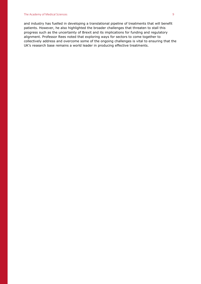#### The Academy of Medical Sciences 9

and industry has fuelled in developing a translational pipeline of treatments that will benefit patients. However, he also highlighted the broader challenges that threaten to stall this progress such as the uncertainty of Brexit and its implications for funding and regulatory alignment. Professor Rees noted that exploring ways for sectors to come together to collectively address and overcome some of the ongoing challenges is vital to ensuring that the UK's research base remains a world leader in producing effective treatments.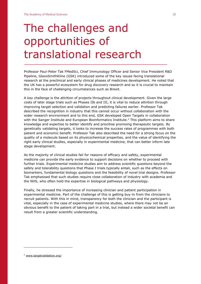## The challenges and opportunities of translational research

Professor Paul-Peter Tak FMedSci, Chief Immunology Officer and Senior Vice President R&D Pipeline, GlaxoSmithKline (GSK) introduced some of the key issues facing translational research at the preclinical and early clinical phases of medicines development. He noted that the UK has a powerful ecosystem for drug discovery research and so it is crucial to maintain this in the face of challenging circumstances such as Brexit.

A key challenge is the attrition of projects throughout clinical development. Given the large costs of later stage trials such as Phases IIb and III, it is vital to reduce attrition through improving target selection and validation and predicting failures earlier. Professor Tak described the recognition in industry that this cannot occur without collaboration with the wider research environment and to this end, GSK developed Open Targets in collaboration with the Sanger Institute and European Bioinformatics Institute.<sup>2</sup> This platform aims to share knowledge and expertise to better identify and prioritise promising therapeutic targets. By genetically validating targets, it looks to increase the success rates of programmes with both patient and economic benefit. Professor Tak also described the need for a strong focus on the quality of a molecule based on its physicochemical properties, and the value of identifying the right early clinical studies, especially in experimental medicine, that can better inform late stage development.

As the majority of clinical studies fail for reasons of efficacy and safety, experimental medicine can provide the early evidence to support decisions on whether to proceed with further trials. Experimental medicine studies aim to address scientific questions beyond the safety and tolerability questions that Phase I trials typically entail, such as the effects on biomarkers, fundamental biology questions and the feasibility of novel trial designs. Professor Tak emphasised that such studies require close collaboration of industry with academia and the NHS, who often hold the expertise in biological pathways and physiology.

Finally, he stressed the importance of increasing clinician and patient participation in experimental medicine. Part of the challenge of this is getting buy-in from the clinicians to recruit patients. With this in mind, transparency for both the clinician and the participant is vital, especially in the case of experimental medicine studies, where there may not be an obvious benefit to the patient of taking part in a trial, but instead a wider societal benefit can result from a greater scientific understanding.

<sup>2</sup> [www.targetvalidation.org/](http://www.targetvalidation.org/)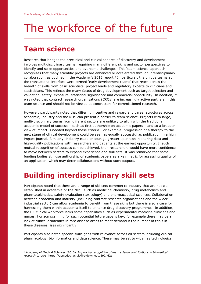## The workforce of the future

## **Team science**

<u>.</u>

Research that bridges the preclinical and clinical spheres of discovery and development involves multidisciplinary teams, requiring many different skills and sector perspectives to identify and seize opportunities and overcome challenges. This 'team science' approach recognises that many scientific projects are enhanced or accelerated through interdisciplinary collaboration, as outlined in the Academy's 2016 report. 3 In particular, the unique teams at the translational interface were termed 'early development teams' that reach across the breadth of skills from basic scientists, project leads and regulatory experts to clinicians and statisticians. This reflects the many facets of drug development such as target selection and validation, safety, exposure, statistical significance and commercial opportunity. In addition, it was noted that contract research organisations (CROs) are increasingly active partners in this team science and should not be viewed as contractors for commissioned research.

However, participants noted that differing incentive and reward and career structures across academia, industry and the NHS can present a barrier to team science. Projects with large, multi-disciplinary teams from different sectors are unlikely to align with the traditional academic model of success – such as first authorship on academic papers – and so a broader view of impact is needed beyond these criteria. For example, progression of a therapy to the next stage of clinical development could be seen as equally successful as publication in a high impact journal. Similarly, industry could encourage greater openness in sharing data and high-quality publications with researchers and patients at the earliest opportunity. If such mutual recognition of success can be achieved, then researchers would have more confidence to move between sectors to expand experience and skill sets. It was remarked that some funding bodies still use authorship of academic papers as a key metric for assessing quality of an application, which may deter collaborations without such outputs.

## **Building interdisciplinary skill sets**

Participants noted that there are a range of skillsets common to industry that are not well established in academia or the NHS, such as medicinal chemistry, drug metabolism and pharmacokinetics, safety evaluation (toxicology) and pharmaceutical sciences. Collaboration between academia and industry (including contract research organisations and the wider industrial sector) can allow academia to benefit from these skills but there is also a case for harnessing them within academia itself to enhance drug discovery programmes. In addition, the UK clinical workforce lacks some capabilities such as experimental medicine clinicians and nurses. Horizon scanning for such potential future gaps is key; for example there may be a lack of clinical academics in rare disease areas to meet demand if the number of trials in these diseases rises significantly.

Participants also noted specific skills gaps with relevance across all sectors including clinical pharmacology, bioinformatics and data science. These may be set to widen as technological

<sup>3</sup> Academy of Medical Sciences (2016). *Improving recognition of team science contributions in biomedical research careers.* <https://acmedsci.ac.uk/file-download/6924621>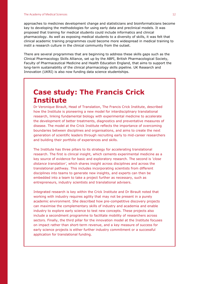approaches to medicines development change and statisticians and bioinformaticians become key to developing the methodologies for using early data and preclinical models. It was proposed that training for medical students could include informatics and clinical pharmacology. As well as exposing medical students to a diversity of skills, it was felt that clinical academic training programmes could become more widespread in medical training to instil a research culture in the clinical community from the outset.

There are several programmes that are beginning to address these skills gaps such as the Clinical Pharmacology Skills Alliance, set up by the ABPI, British Pharmacological Society, Faculty of Pharmaceutical Medicine and Health Education England, that aims to support the long-term sustainability of the clinical pharmacology skills pipeline. UK Research and Innovation (UKRI) is also now funding data science studentships.

## **Case study: The Francis Crick Institute**

Dr Veronique Birault, Head of Translation, The Francis Crick Institute, described how the Institute is pioneering a new model for interdisciplinary translational research, linking fundamental biology with experimental medicine to accelerate the development of better treatments, diagnostics and preventative measures of disease. The model at the Crick Institute reflects the importance of overcoming boundaries between disciplines and organisations, and aims to create the next generation of scientific leaders through recruiting early to mid-career researchers and building their portfolio of experiences and skills.

The Institute has three pillars to its strategy for accelerating translational research. The first is clinical insight, which cements experimental medicine as a key source of evidence for basic and exploratory research. The second is *'close distance translation'*, which shares insight across disciplines and across the translational pathway. This includes incorporating scientists from different disciplines into teams to generate new insights, and experts can then be embedded into a team to take a project further as necessary, such as entrepreneurs, industry scientists and translational advisers.

Integrated research is key within the Crick Institute and Dr Birault noted that working with industry requires agility that may not be present in a purely academic environment. She described how pre-competitive discovery projects can maximise the complementary skills of industry and academia and enable industry to explore early science to test new concepts. These projects also include a secondment programme to facilitate mobility of researchers across sectors. Finally, the third pillar for the innovation model at the Institute focuses on impact rather than short-term revenue, and a key measure of success for early science projects is either further industry commitment or a successful application for translational funding.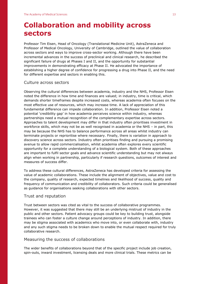## **Collaboration and mobility across sectors**

Professor Tim Eisen, Head of Oncology (Translational Medicine Unit), AstraZeneca and Professor of Medical Oncology, University of Cambridge, outlined the value of collaboration across sectors and ways to improve cross-sector working. Although there have been incremental advances in the success of preclinical and clinical research, he described the significant failure of drugs at Phases I and II, and the opportunity for substantial improvements in demonstrating efficacy at Phase II. He advocated the importance of establishing a higher degree of confidence for progressing a drug into Phase II, and the need for different expertise and sectors in enabling this.

#### Culture across sectors

Observing the cultural differences between academia, industry and the NHS, Professor Eisen noted the difference in how time and finances are valued; in industry, time is critical, which demands shorter timeframes despite increased costs, whereas academia often focuses on the most effective use of resources, which may increase time. A lack of appreciation of this fundamental difference can impede collaboration. In addition, Professor Eisen noted a potential 'credibility gap' in how academia perceives science within industry, whereas partnerships need a mutual recognition of the complementary expertise across sectors. Approaches to talent development may differ in that industry often prioritises investment in workforce skills, which may not be as well recognised in academia or the NHS – in part, this may be because the NHS has to balance performance across all areas whilst industry can terminate projects or reprioritise where necessary. Finally, there is variation in approach to discovery science across sectors. Industry often prioritises finding and pursuing a promising avenue to allow rapid commercialisation, whilst academia often explores every scientific opportunity for a complete understanding of a biological system. Both of these approaches are important to fulfil sector goals and advance scientific understanding but may not always align when working in partnership, particularly if research questions, outcomes of interest and measures of success differ.

To address these cultural differences, AstraZeneca has developed criteria for assessing the value of academic collaborations. These include the alignment of objectives, value and cost to the company, quality of research, expected timelines and likelihood of success, quality and frequency of communication and credibility of collaborators. Such criteria could be generalised as guidance for organisations seeking collaborations with other sectors.

#### Trust and reputation

Trust between sectors was cited as vital to the success of collaborative programmes. However, it was suggested that there may still be an underlying mistrust of industry in the public and other sectors. Patient advocacy groups could be key to building trust, alongside trainees who can foster a culture change around perceptions of industry. In addition, there may be stigma associated with academics who move into, or even collaborate with, industry and any such stigma needs to be broken down to enable the mutual respect required for truly collaborative research.

#### Measuring the success of collaborations

The wider benefits of collaborations beyond that of the specific project include job creation, spin-outs, inward investment, licensing deals and more clinical trials. These metrics can be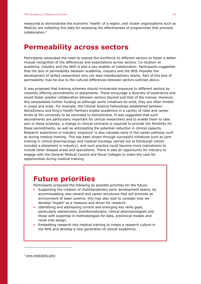measured to demonstrate the economic 'health' of a region, and cluster organisations such as MedCity are collecting this data for assessing the effectiveness of programmes that promote collaboration.<sup>4</sup>

### **Permeability across sectors**

Participants advocated the need to expose the workforce to different sectors to foster a better mutual recognition of the differences and expectations across sectors. Co-location of academia, industry and the NHS is also a key enabler of collaboration. Participants suggested that the lack of permeability between academia, industry and the NHS impedes the development of skilled researchers who can lead interdisciplinary teams. Part of this lack of permeability may be due to the cultural differences between sectors outlined above.

It was proposed that training schemes should incorporate exposure to different sectors by routinely offering secondments or placements. These encourage a diversity of experience and would foster greater collaboration between sectors beyond just that of the trainee. However, this necessitates further funding as although some initiatives do exist, they are often limited in scope and scale. For example, the Clinical Science Fellowships established between AstraZeneca and King's Health Partners enable academics in a variety of roles and career levels at the university to be seconded to AstraZeneca. It was suggested that such secondments are particularly important for clinical researchers and to enable them to take part in these schemes, a change to clinical contracts is required to provide the flexibility for these secondments, as well as anticipating the potential reduction in clinical capacity. Research experience or industry 'exposure' is also valuable early in the career pathway such as during medical training. This has been shown through successful initiatives such as joint training in clinical pharmacology and medical oncology carried out at Edinburgh (which included a placement in industry), and such practice could become more mainstream to include other disease areas and specialisms. There is also an opportunity for industry to engage with the General Medical Council and Royal Colleges to make the case for opportunities during medical training.

### **Future priorities**

Participants proposed the following as possible priorities for the future:

- Supporting the creation of multidisciplinary early development teams, by accommodating new reward and career structures that will promote an environment of team science; this may also look to consider how we develop 'impact' as a measure and driver for research.
- Identifying and addressing current and emerging key skills gaps, particularly statisticians, bioinformaticians, clinical pharmacologists and those with expertise in methodologies for data, preclinical models and novel trial design.
- Embedding research into medical training to create a research culture in the NHS and develop a new generation of clinical academics.

<sup>4</sup> [www.medcityhq.com/](http://www.medcityhq.com/)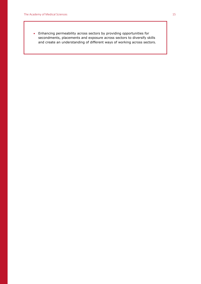Enhancing permeability across sectors by providing opportunities for secondments, placements and exposure across sectors to diversify skills and create an understanding of different ways of working across sectors.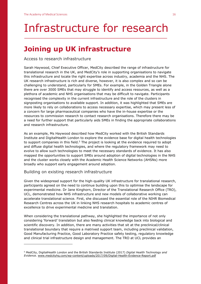## Infrastructure for research

## **Joining up UK infrastructure**

#### Access to research infrastructure

Sarah Haywood, Chief Executive Officer, MedCity described the range of infrastructure for translational research in the UK, and MedCity's role in supporting organisations to navigate this infrastructure and locate the right expertise across industry, academia and the NHS. The UK research infrastructure is rich and diverse, however, it is also complex and so can be challenging to understand, particularly for SMEs. For example, in the Golden Triangle alone there are over 3000 SMEs that may struggle to identify and access resources, as well as a plethora of academic and NHS organisations that may be difficult to navigate. Participants recognised the complexity in the current infrastructure and the role of the clusters in signposting organisations to available support. In addition, it was highlighted that SMEs are more likely to rely on collaborations to access necessary expertise, which may present less of a concern for large pharmaceutical companies who have the in-house expertise or the resources to commission research to contact research organisations. Therefore there may be a need for further support that particularly aids SMEs in finding the appropriate collaborations and research infrastructure.

As an example, Ms Haywood described how MedCity worked with the British Standards Institute and DigitalHealth London to explore the evidence base for digital health technologies to support companies in this field.<sup>5</sup> The project is looking at the evidence required to adopt and diffuse digital health technologies, and where the regulatory framework may need to evolve to allow such technologies to meet the necessary standards of evidence. It has also mapped the opportunities to support SMEs around adoption of digital technologies in the NHS and the cluster works closely with the Academic Health Science Networks (AHSNs) more broadly who support early engagement around adoption.

#### Building on existing research infrastructure

<u>.</u>

Given the widespread support for the high-quality UK infrastructure for translational research, participants agreed on the need to continue building upon this to optimise the landscape for experimental medicine. Dr Jane Kinghorn, Director of the Translational Research Office (TRO), UCL, demonstrated how NHS infrastructure and new models of collaborative working can accelerate translational science. First, she discussed the essential role of the NIHR Biomedical Research Centres across the UK in linking NHS research hospitals to academic centres of excellence to drive experimental medicine and translation.

When considering the translational pathway, she highlighted the importance of not only considering 'forward' translation but also feeding clinical knowledge back into biological and scientific discovery. In addition, there are many activities that sit at the preclinical/clinical translational boundary that require a matrixed support team, including preclinical validation, Good Manufacturing Practice, Good Laboratory Practice safety testing, regulatory knowledge and clinical trial infrastructure design and management. The TRO at UCL provides an

<sup>5</sup> MedCity, DigitalHealth London and the British Standards Institute (2017) *Digital Health Technology and Evidence.* [www.medcityhq.com/wp-content/uploads/2017/09/Digital-Health-Evidence-Report.pdf](http://www.medcityhq.com/wp-content/uploads/2017/09/Digital-Health-Evidence-Report.pdf)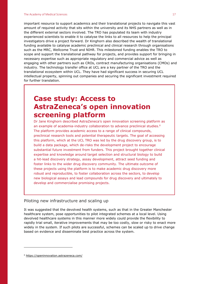important resource to support academics and their translational projects to navigate this vast amount of required activity that sits within the university and its NHS partners as well as in the different external sectors involved. The TRO has populated its team with industry experienced scientists to enable it to catalyse the links to all resources to help the principal investigators drive a project forward. Dr Kinghorn also described the wealth of translational funding available to catalyse academic preclinical and clinical research through organisations such as the MRC, Wellcome Trust and NIHR. This milestoned funding enables the TRO to scope and support the translational pathway for projects, and provides support for bringing in necessary expertise such as appropriate regulatory and commercial advice as well as engaging with other partners such as CROs, contract manufacturing organisations (CMOs) and industry. The technology transfer office at UCL are a key partner of the TRO and the translational ecosystem within UCL. They have had significant success in securing UCL intellectual property, spinning out companies and securing the significant investment required for further translation.

## **Case study: Access to AstraZeneca's open innovation screening platform**

Dr Jane Kinghorn described AstraZeneca's open innovation screening platform as an example of academia-industry collaboration to advance preclinical studies.<sup>6</sup> The platform provides academic access to a range of clinical compounds, preclinical research tools and potential therapeutic targets. The goal of accessing this platform, which at the UCL TRO was led by the drug discovery group, is to build a data package, which de-risks the development project to encourage substantial future investment from funders. This project brought together clinical expertise and knowledge around target selection and structural biology to build a hit-lead discovery strategy, assay development, attract seed funding and foster links to the wider drug discovery community. The ultimate outcome of these projects using the platform is to make academic drug discovery more robust and reproducible, to foster collaboration across the sectors, to develop new biological assays and lead compounds for drug discovery and ultimately to develop and commercialise promising projects.

#### Piloting new infrastructure and scaling up

It was suggested that the devolved health systems, such as that in the Greater Manchester healthcare system, pose opportunities to pilot integrated schemes at a local level. Using devolved healthcare systems in this manner more widely could provide the flexibility to rapidly trial small, iterative improvements that may be too costly, slow or risky to enact more widely in the system. If such pilots are successful, schemes can be scaled up to drive change based on evidence and disseminate best practice across the system.

<sup>6</sup> <https://openinnovation.astrazeneca.com/>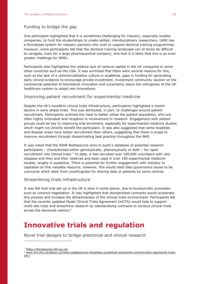#### Funding to bridge the gap

One participant highlighted that it is sometimes challenging for industry, especially smaller companies, to fund the studentships to create skilled, interdisciplinary researchers. UKRI has a formalised system for industry partners who wish to support doctoral training programmes. However, some participants felt that the doctoral training landscape can at times be difficult to navigate, even for a large pharmaceutical company, and that it is likely that this is an even greater challenge for SMEs.

Participants also highlighted the relative lack of venture capital in the UK compared to some other countries such as the USA. It was surmised that there were several reasons for this, such as the lack of a commercialisation culture in academia, gaps in funding for generating early clinical evidence to encourage private investment, investment community caution on the commercial potential of biomedical innovation and uncertainty about the willingness of the UK healthcare system to adopt new innovations.

#### Improving patient recruitment for experimental medicine

Despite the UK's excellent clinical trials infrastructure, participants highlighted a recent decline in early phase trials. This was attributed, in part, to challenges around patient recruitment. Participants outlined the need to better utilise the patient population, who are often highly motivated and receptive to involvement in research. Engagement with patient groups could be key to improving trial enrolment, especially for experimental medicine studies which might not directly benefit the participant. It was also suggested that some hospitals and disease areas have better recruitment than others, suggesting that there is scope to improve recruitment through disseminating best practice throughout the NHS.

It was noted that the NIHR BioResource aims to build a database of potential research participants – characterised either genotypically, phenotypically or both – for rapid recruitment into clinical trials.<sup>7</sup> To date, it had recruited over 100,000 volunteers with rare diseases and they and their relatives and been used in over 100 experimental medicine studies, largely in academia. There is potential for further engagement with industry to capitalise on this valuable resource, however, this would need data governance issues to be overcome which stem from unwillingness for sharing data or patients by some centres.

#### Streamlining trials infrastructure

It was felt that trial set-up in the UK is slow in some places, due to bureaucratic processes such as contract negotiation. It was highlighted that standardised contracts would accelerate this process and increase the attractiveness of the clinical trials environment. Participants felt that the recently updated Model Clinical Trials Agreement (mCTA) would help to support multi-site trials and streamline research by standardising contracts to conduct clinical trials across the devolved nations. 8

### **Innovative trials and regulation**

Novel trial designs to bridge preclinical and clinical research

<sup>7</sup> <https://bioresource.nihr.ac.uk/>

<sup>8</sup> [www.hra.nhs.uk/about-us/news-updates/new-templates-published-streamline-commercially-sponsored-trials](http://www.hra.nhs.uk/about-us/news-updates/new-templates-published-streamline-commercially-sponsored-trials-set-/)[set-/](http://www.hra.nhs.uk/about-us/news-updates/new-templates-published-streamline-commercially-sponsored-trials-set-/)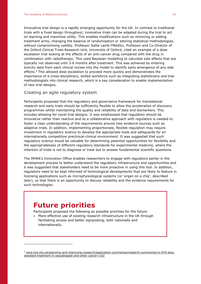Innovative trial design is a rapidly emerging opportunity for the UK. In contrast to traditional trials with a fixed design throughout, innovative trials can be adapted during the trial to act on learning and maximise utility. This enables modifications such as removing or adding treatment arms, changing the balance of randomisation or altering statistical methodologies, without compromising validity. Professor Sallie Lamb FMedSci, Professor and Co-Director of the Oxford Clinical Trials Research Unit, University of Oxford, cited an example of a dose escalation trial looking at the effects of an anti-cancer drug compared with the drug in combination with radiotherapy. This used Bayesian modelling to calculate side effects that are typically not observed until 3-6 months after treatment. This was achieved by entering toxicity data from each clinical review into the model to identify early emergence of any side effects.<sup>9</sup> This allowed dose escalation to proceed more quickly and demonstrates the importance of a cross-disciplinary, skilled workforce such as integrating statisticians and trial methodologists into clinical research, which is a key consideration to enable implementation of new trial designs.

#### Creating an agile regulatory system

Participants proposed that the regulatory and governance framework for translational research and early trials should be sufficiently flexible to allow the acceleration of discovery programmes whilst maintaining the quality and reliability of data and biomarkers. This includes allowing for novel trial designs. It was emphasised that regulation should be innovative rather than reactive and so a collaborative approach with regulators is needed to foster a clear understanding of the requirements around new evidence sources such as adaptive trials. In addition, implementing proportionate, flexible regulation may require investment in regulatory science to develop the appropriate tools and safeguards for an internationally competitive preclinical-clinical environment. It was suggested that such regulatory science would be valuable for determining potential opportunities for flexibility and the appropriateness of different regulatory standards for experimental medicine, where the intention of trials is not to diagnose or treat but to answer fundamental scientific questions.

The MHRA's Innovation Office enables researchers to engage with regulators earlier in the development process to better understand the regulatory infrastructure and opportunities and it was suggested that stakeholders need to be more proactive in using this tool. In addition, regulators need to be kept informed of technological developments that are likely to feature in licensing applications such as microphysiological systems (or 'organ on a chip', described later), so that there is an opportunity to discuss reliability and the evidence requirements for such technologies.

### **Future priorities**

<u>.</u>

Participants proposed the following as possible priorities for the future:

 More effective use of existing research infrastructure in the UK through facilitating access and better signposting, both nationally and internationally.

<sup>9</sup> [www.hra.nhs.uk/planning-and-improving-research/application-summaries/research-summaries/vx-970-plus](http://www.hra.nhs.uk/planning-and-improving-research/application-summaries/research-summaries/vx-970-plus-standard-treatment-in-oesophageal-and-other-cancer-v10/)[standard-treatment-in-oesophageal-and-other-cancer-v10/](http://www.hra.nhs.uk/planning-and-improving-research/application-summaries/research-summaries/vx-970-plus-standard-treatment-in-oesophageal-and-other-cancer-v10/)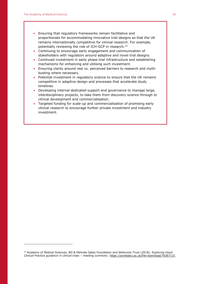- Ensuring that regulatory frameworks remain facilitative and proportionate for accommodating innovative trial designs so that the UK remains internationally competitive for clinical research. For example, potentially reviewing the role of ICH-GCP in research.<sup>10</sup>
- Continuing to encourage early engagement and communication of stakeholders with regulators around adaptive and novel trial designs.
- Continued investment in early phase trial infrastructure and establishing mechanisms for enhancing and utilising such investment.
- Ensuring clarity around real vs. perceived barriers to research and mythbusting where necessary.
- Potential investment in regulatory science to ensure that the UK remains competitive in adaptive design and processes that accelerate study timelines.
- Developing internal dedicated support and governance to manage large, interdisciplinary projects, to take them from discovery science through to clinical development and commercialisation.
- Targeted funding for scale-up and commercialisation of promising early clinical research to encourage further private investment and industry investment.

<sup>10</sup> Academy of Medical Sciences, Bill & Melinda Gates Foundation and Wellcome Trust (2018). *Exploring Good Clinical Practice guidance in clinical trials – meeting summary.* <https://acmedsci.ac.uk/file-download/76367131>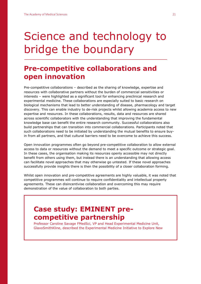## Science and technology to bridge the boundary

### **Pre-competitive collaborations and open innovation**

Pre-competitive collaborations – described as the sharing of knowledge, expertise and resources with collaborative partners without the burden of commercial sensitivities or interests – were highlighted as a significant tool for enhancing preclinical research and experimental medicine. These collaborations are especially suited to basic research on biological mechanisms that lead to better understanding of disease, pharmacology and target discovery. This can enable industry to de-risk projects whilst allowing academia access to new expertise and resources. In these collaborations, results, data and resources are shared across scientific collaborators with the understanding that improving the fundamental knowledge base can benefit the entire research community. Successful collaborations also build partnerships that can transition into commercial collaborations. Participants noted that such collaborations need to be initiated by understanding the mutual benefits to ensure buyin from all partners, and that cultural barriers need to be overcome to achieve this success.

Open innovation programmes often go beyond pre-competitive collaboration to allow external access to data or resources without the demand to meet a specific outcome or strategic goal. In these cases, the organisation making its resources openly accessible may not directly benefit from others using them, but instead there is an understanding that allowing access can facilitate novel approaches that may otherwise go untested. If these novel approaches successfully provide insights there is then the possibility of a closer collaboration forming.

Whilst open innovation and pre-competitive agreements are highly valuable, it was noted that competitive programmes will continue to require confidentiality and intellectual property agreements. These can disincentivise collaboration and overcoming this may require demonstration of the value of collaboration to both parties.

## **Case study: EMINENT precompetitive partnership**

Professor Caroline Savage FMedSci, VP and Head Experimental Medicine Unit, GlaxoSmithKline, described the Experimental Medicine Initiative to Explore New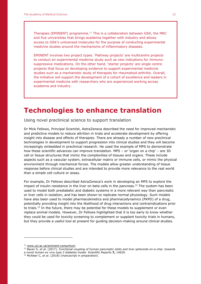Therapies (EMINENT) programme.<sup>11</sup> This is a collaboration between GSK, the MRC and five universities that brings academia together with industry and allows access to GSK's unlicensed molecules for the purpose of conducting experimental medicine studies around the mechanisms of inflammatory diseases.

EMINENT involves two project types. 'Pathway projects' are multicentre projects to conduct an experimental medicine study such as new indications for immunosuppressive medications. On the other hand, 'starter projects' are single centre projects that focus on developing evidence to support experimental medicine studies such as a mechanistic study of therapies for rheumatoid arthritis. Overall, the initiative will support the development of a cohort of excellence and leaders in experimental medicine with researchers who are experienced working across academia and industry.

### **Technologies to enhance translation**

Using novel preclinical science to support translation

Dr Mick Fellows, Principal Scientist, AstraZeneca described the need for improved mechanistic and predictive models to reduce attrition in trials and accelerate development by offering insight into disease and effects of therapies. There are already a number of new preclinical technologies in development to support progression into clinical studies and they will become increasingly embedded in preclinical research. He used the example of MPS to demonstrate how these scientific advances can improve translation. MPS – or 'organ on a chip' – are 3D cell or tissue structures that mimic the complexities of tissues and organs. These include aspects such as a vascular system, extracellular matrix or immune cells, or mimic the physical environment through mechanical forces. The models allow greater understanding of tissue response before clinical studies and are intended to provide more relevance to the real world than a simple cell culture or assay.

For example, Dr Fellows described AstraZeneca's work in developing an MPS to explore the impact of insulin resistance in the liver on beta cells in the pancreas.<sup>12</sup> The system has been used to model both prediabetic and diabetic systems in a more relevant way than pancreatic or liver cells in isolation, and has been shown to replicate normal physiology. Such models have also been used to model pharmacokinetics and pharmacodynamics (PKPD) of a drug, potentially providing insight into the likelihood of drug interactions and contraindications prior to trials.<sup>13</sup> In the future, there may be potential for these models to supplement or even replace animal models. However, Dr Fellows highlighted that it is too early to know whether they could be used for toxicity screening to complement or supplant toxicity trials in humans, but they provide a useful tool at present for guiding decision-making around clinical studies.

<sup>11</sup> [www.ucl.ac.uk/eminent-consortium](http://www.ucl.ac.uk/eminent-consortium)

<sup>12</sup> Bauer S, *et al.* (2017). *Functional coupling of human pancreatic islets and liver spheroids on-a-chip: towards a novel human ex vivo type 2 diabetes model.* Scientific Reports **7,** 14620.

<sup>&</sup>lt;sup>13</sup> McAleer C, *et al.* (2018) (manuscript in preparation)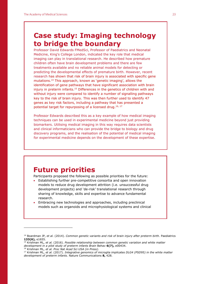## **Case study: Imaging technology to bridge the boundary**

Professor David Edwards FMedSci, Professor of Paediatrics and Neonatal Medicine, King's College London, indicated the key role that medical imaging can play in translational research. He described how premature children often have brain development problems and there are few treatments available and no reliable animal models for detecting or predicting the developmental effects of premature birth. However, recent research has shown that risk of brain injury is associated with specific gene mutations.<sup>14</sup> This approach, known as 'genetic imaging', allows the identification of gene pathways that have significant association with brain injury in preterm infants.<sup>15</sup> Differences in the genetics of children with and without injury were compared to identify a number of signalling pathways key to the risk of brain injury. This was then further used to identify 47 genes as key risk factors, including a pathway that has presented a potential target for repurposing of a licensed drug.<sup>16, 17</sup>

Professor Edwards described this as a key example of how medical imaging techniques can be used in experimental medicine beyond just providing biomarkers. Utilising medical imaging in this way requires data scientists and clinical informaticians who can provide the bridge to biology and drug discovery programs, and the realisation of the potential of medical imaging for experimental medicine depends on the development of these expertise.

### **Future priorities**

Participants proposed the following as possible priorities for the future:

- Establishing further pre-competitive consortia and open innovation models to reduce drug development attrition (i.e. unsuccessful drug development projects) and 'de-risk' translational research through sharing of knowledge, skills and expertise to advance fundamental research.
- Embracing new technologies and approaches, including preclinical models such as organoids and microphysiological systems and clinical

<sup>16</sup> Krishnan ML, *et al. Proc Nat Acad Sci USA (in Press).*

<sup>14</sup> Boardman JP, *et al.* (2014). *Common genetic variants and risk of brain injury after preterm birth.* Paediatrics **133(6),** e1655.

<sup>15</sup> Krishnan ML, *et al.* (2016). *Possible relationship between common genetic variation and white matter development in a pilot study of preterm infants Brain* Behav **6(7),** e00434.

<sup>17</sup> Krishnan ML, *et al.* (2017). *Integrative genomics of microglia implicates DLG4 (PSD95) in the white matter development of preterm infants.* Nature Communications **8,** 428.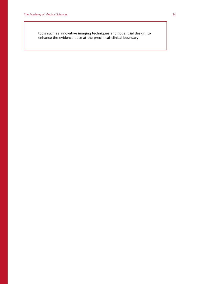tools such as innovative imaging techniques and novel trial design, to enhance the evidence base at the preclinical-clinical boundary.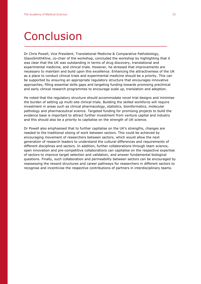## Conclusion

Dr Chris Powell, Vice President, Translational Medicine & Comparative Pathobiology, GlaxoSmithKline, co-chair of the workshop, concluded the workshop by highlighting that it was clear that the UK was outstanding in terms of drug discovery, translational and experimental medicine, and clinical trials. However, he stressed that improvements are necessary to maintain and build upon this excellence. Enhancing the attractiveness of the UK as a place to conduct clinical trials and experimental medicine should be a priority. This can be supported by ensuring an appropriate regulatory structure that encourages innovative approaches, filling essential skills gaps and targeting funding towards promising preclinical and early clinical research programmes to encourage scale up, translation and adoption.

He noted that the regulatory structure should accommodate novel trial designs and minimise the burden of setting up multi-site clinical trials. Building the skilled workforce will require investment in areas such as clinical pharmacology, statistics, bioinformatics, molecular pathology and pharmaceutical science. Targeted funding for promising projects to build the evidence base is important to attract further investment from venture capital and industry and this should also be a priority to capitalise on the strength of UK science.

Dr Powell also emphasised that to further capitalise on the UK's strengths, changes are needed to the traditional siloing of work between sectors. This could be achieved by encouraging movement of researchers between sectors, which would allow the next generation of research leaders to understand the cultural differences and requirements of different disciplines and sectors. In addition, further collaborations through team science, open innovation and pre-competitive collaborations can capitalise on the respective expertise of sectors to improve target selection and validation, and answer fundamental biological questions. Finally, such collaboration and permeability between sectors can be encouraged by reassessing the reward structures and career pathways for researchers in different sectors to recognise and incentivise the respective contributions of partners in interdisciplinary teams.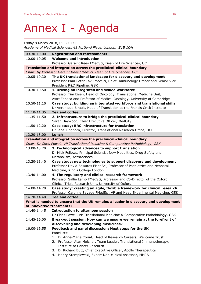## Annex I - Agenda

Friday 9 March 2018, 09.30-17.00 *Academy of Medical Sciences, 41 Portland Place, London, W1B 1QH*

| <b>Registration and refreshments</b>                                                                            |  |  |
|-----------------------------------------------------------------------------------------------------------------|--|--|
| <b>Welcome and introduction</b>                                                                                 |  |  |
| Professor Geraint Rees FMedSci, Dean of Life Sciences, UCL                                                      |  |  |
| Translation and integration across the preclinical-clinical boundary                                            |  |  |
| Chair: by Professor Geraint Rees FMedSci, Dean of Life Sciences, UCL                                            |  |  |
| The UK translational landscape for discovery and development                                                    |  |  |
| Professor Paul-Peter Tak FMedSci, Chief Immunology Officer and Senior Vice                                      |  |  |
| President R&D Pipeline, GSK                                                                                     |  |  |
| 1. Driving an integrated and skilled workforce                                                                  |  |  |
| Professor Tim Eisen, Head of Oncology, Translational Medicine Unit,                                             |  |  |
| AstraZeneca and Professor of Medical Oncology, University of Cambridge                                          |  |  |
| Case study: building an integrated workforce and translational skills                                           |  |  |
| Dr Veronique Birault, Head of Translation at the Francis Crick Institute                                        |  |  |
| <b>Tea and coffee</b>                                                                                           |  |  |
| 2. Infrastructure to bridge the preclinical-clinical boundary                                                   |  |  |
| Sarah Haywood, Chief Executive Officer, MedCity                                                                 |  |  |
| Case study: BRC infrastructure for translation                                                                  |  |  |
| Dr Jane Kinghorn, Director, Translational Research Office, UCL                                                  |  |  |
| Lunch                                                                                                           |  |  |
| Translation and integration across the preclinical-clinical boundary                                            |  |  |
| Chair: Dr Chris Powell, VP Translational Medicine & Comparative Pathobiology, GSK                               |  |  |
| 3. Technological advances to support translation                                                                |  |  |
| Dr Mick Fellows, Principal Scientist New Modalities, Drug Safety and                                            |  |  |
| Metabolism, AstraZeneca                                                                                         |  |  |
| Case study: new technologies to support discovery and development                                               |  |  |
| Professor David Edwards FMedSci, Professor of Paediatrics and Neonatal                                          |  |  |
| Medicine, King's College London                                                                                 |  |  |
| 4. The regulatory and clinical research framework                                                               |  |  |
| Professor Sallie Lamb FMedSci, Professor and Co-Director of the Oxford                                          |  |  |
| Clinical Trials Research Unit, University of Oxford                                                             |  |  |
| Case study: creating an agile, flexible framework for clinical research                                         |  |  |
| Professor Caroline Savage FMedSci, VP and Head Experimental Medicine, GSK                                       |  |  |
| <b>Tea and coffee</b>                                                                                           |  |  |
| What is needed to ensure that the UK remains a leader in discovery and development<br>of innovative treatments? |  |  |
| <b>Introduction to afternoon session</b>                                                                        |  |  |
| Dr Chris Powell, VP Translational Medicine & Comparative Pathobiology, GSK                                      |  |  |
| Break-out session: How can we ensure we remain at the forefront of                                              |  |  |
| discovering and developing medicines?                                                                           |  |  |
| Feedback and panel discussion: Next steps for the UK                                                            |  |  |
| Panellists:                                                                                                     |  |  |
| 1. Dr Anne-Marie Coriat, Head of Research Careers, Wellcome Trust                                               |  |  |
| 2. Professor Alan Melcher, Team Leader, Translational Immunotherapy,                                            |  |  |
| Institute of Cancer Research                                                                                    |  |  |
| 3. Dr Richard Butt, Chief Executive Officer, Apollo Therapeutics                                                |  |  |
| 4. Henry Stemplewski, Expert Non-clinical Assessor, MHRA                                                        |  |  |
|                                                                                                                 |  |  |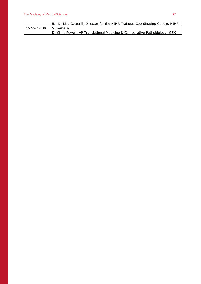|                            | 5. Dr Lisa Cotterill, Director for the NIHR Trainees Coordinating Centre, NIHR |
|----------------------------|--------------------------------------------------------------------------------|
| 16.55-17.00 <b>Summary</b> |                                                                                |
|                            | Dr Chris Powell, VP Translational Medicine & Comparative Pathobiology, GSK     |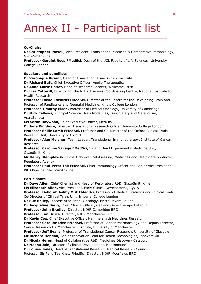## Annex II - Participant list

#### **Co-Chairs**

**Dr Christopher Powell,** Vice President, Translational Medicine & Comparative Pathobiology, GlaxoSmithKline

**Professor Geraint Rees FMedSci,** Dean of the UCL Faculty of Life Sciences, University College London

#### **Speakers and panellists**

**Dr Veronique Birault,** Head of Translation, Francis Crick Institute

**Dr Richard Butt,** Chief Executive Officer, Apollo Therapeutics

**Dr Anne-Marie Coriat,** Head of Research Careers, Wellcome Trust

**Dr Lisa Cotterill,** Director for the NIHR Trainees Coordinating Centre, National Institute for Health Research

**Professor David Edwards FMedSci,** Director of the Centre for the Developing Brain and Professor of Paediatrics and Neonatal Medicine, King's College London

**Professor Timothy Eisen,** Professor of Medical Oncology, University of Cambridge **Dr Mick Fellows,** Principal Scientist New Modalities, Drug Safety and Metabolism, AstraZeneca

**Ms Sarah Haywood,** Chief Executive Officer, MedCity

**Dr Jane Kinghorn,** Director, Translational Research Office, University College London **Professor Sallie Lamb FMedSci,** Professor and Co-Director of the Oxford Clinical Trials Research Unit, University of Oxford

**Professor Alan Melcher,** Team Leader, Translational Immunotherapy, Institute of Cancer Research

**Professor Caroline Savage FMedSci,** VP and Head Experimental Medicine Unit, GlaxoSmithKline

**Mr Henry Stemplewski,** Expert Non-clinical Assessor, Medicines and Healthcare products Regulatory Agency

**Professor Paul-Peter Tak FMedSci,** Chief Immunology Officer and Senior Vice President R&D Pipeline, GlaxoSmithKline

#### **Participants**

**Dr Dave Allen,** Chief Chemist and Head of Respiratory R&D, GlaxoSmithKline **Ms Elizabeth Allen,** Vice President, Early Clinical Development, IQVIA **Professor Deborah Ashby OBE FMedSci,** Professor of Medical Statistics and Clinical Trials, Co-Director of Clinical Trials Unit, Imperial College London **Dr Sue Bailey,** Disease Area Head, Oncology, Bristol-Myers Squibb **Dr Jacqueline Barry,** Chief Clinical Officer, Cell and Gene Therapy Catapult **Professor John Bradley,** Director, NIHR Cambridge BRC **Professor Ian Bruce,** Director, NIHR Manchester BRC **Dr Kevin Cox,** Chief Executive Officer, Hammersmith Medicines Research **Professor Caroline Dive FMedSci,** Professor of Cancer Pharmacology and Deputy Director, Cancer Research UK Manchester Institute, University of Manchester **Professor Jeff Evans,** Professor of Translational Cancer Research, University of Glasgow **Mr Richard Hebdon,** Senior Innovation Lead for Health Technologies, Innovate UK **Dr Nicola Heron,** Head of Collaborative R&D, Medicines Discovery Catapult **Dr Meena Jain,** Director of Clinical Development, MedImmune **Dr Louise Jones,** Head of Translational Research, Medical Research Council Professor Sir Peng Tee Khaw FMedSci, Director, NIHR Moorfields BRC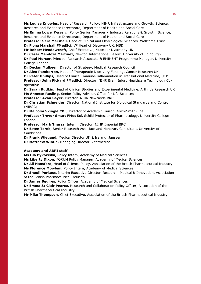#### The Academy of Medical Sciences 29

**Ms Louise Knowles,** Head of Research Policy: NIHR Infrastructure and Growth, Science, Research and Evidence Directorate, Department of Health and Social Care

**Ms Emma Lowe,** Research Policy Senior Manager – Industry Relations & Growth, Science, Research and Evidence Directorate, Department of Health and Social Care

**Professor Sara Marshall,** Head of Clinical and Physiological Sciences, Wellcome Trust **Dr Fiona Marshall FMedSci,** VP Head of Discovery UK, MSD

**Mr Robert Meadowcroft,** Chief Executive, Muscular Dystrophy UK

**Dr Cesar Mendoza Martinez,** Newton International Fellow, University of Edinburgh **Dr Paul Mercer,** Principal Research Associate & EMINENT Programme Manager, University College London

**Dr Declan Mulkeen,** Director of Strategy, Medical Research Council

**Dr Alex Pemberton,** Head of Therapeutic Discovery Funding, Cancer Research UK **Dr Peter Phillips,** Head of Clinical Immuno-Inflammation in Translational Medicine, UCB **Professor John Pickard FMedSci,** Director, NIHR Brain Injury Healthcare Technology Cooperative

**Dr Sarah Rudkin,** Head of Clinical Studies and Experimental Medicine, Arthritis Research UK **Ms Annette Rusling,** Senior Policy Advisor, Office for Life Sciences

**Professor Avan Sayer,** Director, NIHR Newcastle BRC

**Dr Christian Schneider,** Director, National Institute for Biological Standards and Control (NIBSC)

**Dr Malcolm Skingle CBE,** Director of Academic Liaison, GlaxoSmithKline

**Professor Trevor Smart FMedSci,** Schild Professor of Pharmacology, University College London

**Professor Mark Thursz,** Interim Director, NIHR Imperial BRC

**Dr Estee Torok,** Senior Research Associate and Honorary Consultant, University of Cambridge

**Dr Frank Wiegand,** Medical Director UK & Ireland, Janssen

**Dr Matthew Wintle,** Managing Director, Zestmedica

#### **Academy and ABPI staff**

**Ms Ola Bykowska,** Policy Intern, Academy of Medical Sciences

**Ms Liberty Dixon,** FORUM Policy Manager, Academy of Medical Sciences

**Dr Ali Hansford,** Head of Science Policy, Association of the British Pharmaceutical Industry **Ms Florence Mowlem,** Policy Intern, Academy of Medical Sciences

**Dr Sheuli Porkess,** Interim Executive Director, Research, Medical & Innovation, Association of the British Pharmaceutical Industry

**Dr James Squires,** Policy Officer, Academy of Medical Sciences

**Dr Emma St Clair Pearce,** Research and Collaboration Policy Officer, Association of the British Pharmaceutical Industry

**Mr Mike Thompson,** Chief Executive, Association of the British Pharmaceutical Industry